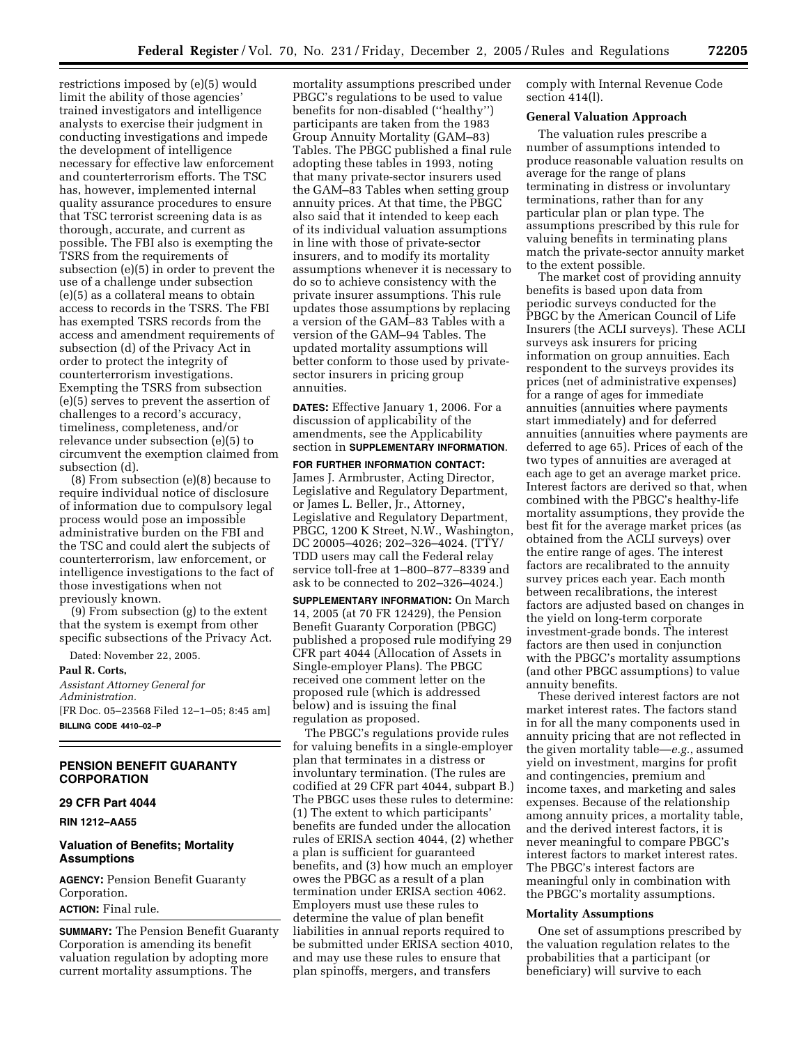restrictions imposed by (e)(5) would limit the ability of those agencies' trained investigators and intelligence analysts to exercise their judgment in conducting investigations and impede the development of intelligence necessary for effective law enforcement and counterterrorism efforts. The TSC has, however, implemented internal quality assurance procedures to ensure that TSC terrorist screening data is as thorough, accurate, and current as possible. The FBI also is exempting the TSRS from the requirements of subsection (e)(5) in order to prevent the use of a challenge under subsection (e)(5) as a collateral means to obtain access to records in the TSRS. The FBI has exempted TSRS records from the access and amendment requirements of subsection (d) of the Privacy Act in order to protect the integrity of counterterrorism investigations. Exempting the TSRS from subsection (e)(5) serves to prevent the assertion of challenges to a record's accuracy, timeliness, completeness, and/or relevance under subsection (e)(5) to circumvent the exemption claimed from subsection (d).

(8) From subsection (e)(8) because to require individual notice of disclosure of information due to compulsory legal process would pose an impossible administrative burden on the FBI and the TSC and could alert the subjects of counterterrorism, law enforcement, or intelligence investigations to the fact of those investigations when not previously known.

(9) From subsection (g) to the extent that the system is exempt from other specific subsections of the Privacy Act.

Dated: November 22, 2005.

**Paul R. Corts,** 

*Assistant Attorney General for Administration.*  [FR Doc. 05–23568 Filed 12–1–05; 8:45 am] **BILLING CODE 4410–02–P** 

## **PENSION BENEFIT GUARANTY CORPORATION**

### **29 CFR Part 4044**

**RIN 1212–AA55** 

### **Valuation of Benefits; Mortality Assumptions**

**AGENCY:** Pension Benefit Guaranty Corporation. **ACTION:** Final rule.

**SUMMARY:** The Pension Benefit Guaranty Corporation is amending its benefit valuation regulation by adopting more current mortality assumptions. The

mortality assumptions prescribed under PBGC's regulations to be used to value benefits for non-disabled (''healthy'') participants are taken from the 1983 Group Annuity Mortality (GAM–83) Tables. The PBGC published a final rule adopting these tables in 1993, noting that many private-sector insurers used the GAM–83 Tables when setting group annuity prices. At that time, the PBGC also said that it intended to keep each of its individual valuation assumptions in line with those of private-sector insurers, and to modify its mortality assumptions whenever it is necessary to do so to achieve consistency with the private insurer assumptions. This rule updates those assumptions by replacing a version of the GAM–83 Tables with a version of the GAM–94 Tables. The updated mortality assumptions will better conform to those used by privatesector insurers in pricing group annuities.

**DATES:** Effective January 1, 2006. For a discussion of applicability of the amendments, see the Applicability section in **SUPPLEMENTARY INFORMATION**.

#### **FOR FURTHER INFORMATION CONTACT:**

James J. Armbruster, Acting Director, Legislative and Regulatory Department, or James L. Beller, Jr., Attorney, Legislative and Regulatory Department, PBGC, 1200 K Street, N.W., Washington, DC 20005–4026; 202–326–4024. (TTY/ TDD users may call the Federal relay service toll-free at 1–800–877–8339 and ask to be connected to 202–326–4024.)

**SUPPLEMENTARY INFORMATION:** On March 14, 2005 (at 70 FR 12429), the Pension Benefit Guaranty Corporation (PBGC) published a proposed rule modifying 29 CFR part 4044 (Allocation of Assets in Single-employer Plans). The PBGC received one comment letter on the proposed rule (which is addressed below) and is issuing the final regulation as proposed.

The PBGC's regulations provide rules for valuing benefits in a single-employer plan that terminates in a distress or involuntary termination. (The rules are codified at 29 CFR part 4044, subpart B.) The PBGC uses these rules to determine: (1) The extent to which participants' benefits are funded under the allocation rules of ERISA section 4044, (2) whether a plan is sufficient for guaranteed benefits, and (3) how much an employer owes the PBGC as a result of a plan termination under ERISA section 4062. Employers must use these rules to determine the value of plan benefit liabilities in annual reports required to be submitted under ERISA section 4010, and may use these rules to ensure that plan spinoffs, mergers, and transfers

comply with Internal Revenue Code section 414(l).

### **General Valuation Approach**

The valuation rules prescribe a number of assumptions intended to produce reasonable valuation results on average for the range of plans terminating in distress or involuntary terminations, rather than for any particular plan or plan type. The assumptions prescribed by this rule for valuing benefits in terminating plans match the private-sector annuity market to the extent possible.

The market cost of providing annuity benefits is based upon data from periodic surveys conducted for the PBGC by the American Council of Life Insurers (the ACLI surveys). These ACLI surveys ask insurers for pricing information on group annuities. Each respondent to the surveys provides its prices (net of administrative expenses) for a range of ages for immediate annuities (annuities where payments start immediately) and for deferred annuities (annuities where payments are deferred to age 65). Prices of each of the two types of annuities are averaged at each age to get an average market price. Interest factors are derived so that, when combined with the PBGC's healthy-life mortality assumptions, they provide the best fit for the average market prices (as obtained from the ACLI surveys) over the entire range of ages. The interest factors are recalibrated to the annuity survey prices each year. Each month between recalibrations, the interest factors are adjusted based on changes in the yield on long-term corporate investment-grade bonds. The interest factors are then used in conjunction with the PBGC's mortality assumptions (and other PBGC assumptions) to value annuity benefits.

These derived interest factors are not market interest rates. The factors stand in for all the many components used in annuity pricing that are not reflected in the given mortality table—*e.g.*, assumed yield on investment, margins for profit and contingencies, premium and income taxes, and marketing and sales expenses. Because of the relationship among annuity prices, a mortality table, and the derived interest factors, it is never meaningful to compare PBGC's interest factors to market interest rates. The PBGC's interest factors are meaningful only in combination with the PBGC's mortality assumptions.

#### **Mortality Assumptions**

One set of assumptions prescribed by the valuation regulation relates to the probabilities that a participant (or beneficiary) will survive to each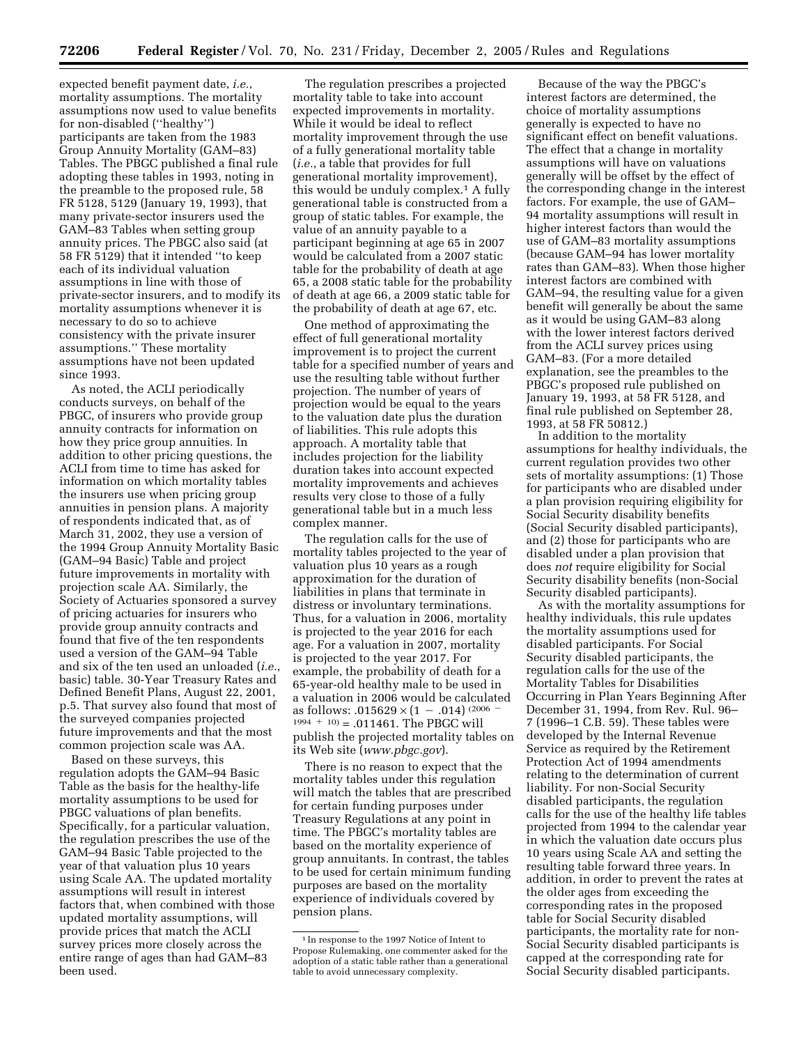expected benefit payment date, *i.e.*, mortality assumptions. The mortality assumptions now used to value benefits for non-disabled (''healthy'') participants are taken from the 1983 Group Annuity Mortality (GAM–83) Tables. The PBGC published a final rule adopting these tables in 1993, noting in the preamble to the proposed rule, 58 FR 5128, 5129 (January 19, 1993), that many private-sector insurers used the GAM–83 Tables when setting group annuity prices. The PBGC also said (at 58 FR 5129) that it intended ''to keep each of its individual valuation assumptions in line with those of private-sector insurers, and to modify its mortality assumptions whenever it is necessary to do so to achieve consistency with the private insurer assumptions.'' These mortality assumptions have not been updated since 1993.

As noted, the ACLI periodically conducts surveys, on behalf of the PBGC, of insurers who provide group annuity contracts for information on how they price group annuities. In addition to other pricing questions, the ACLI from time to time has asked for information on which mortality tables the insurers use when pricing group annuities in pension plans. A majority of respondents indicated that, as of March 31, 2002, they use a version of the 1994 Group Annuity Mortality Basic (GAM–94 Basic) Table and project future improvements in mortality with projection scale AA. Similarly, the Society of Actuaries sponsored a survey of pricing actuaries for insurers who provide group annuity contracts and found that five of the ten respondents used a version of the GAM–94 Table and six of the ten used an unloaded (*i.e.*, basic) table. 30-Year Treasury Rates and Defined Benefit Plans, August 22, 2001, p.5. That survey also found that most of the surveyed companies projected future improvements and that the most common projection scale was AA.

Based on these surveys, this regulation adopts the GAM–94 Basic Table as the basis for the healthy-life mortality assumptions to be used for PBGC valuations of plan benefits. Specifically, for a particular valuation, the regulation prescribes the use of the GAM–94 Basic Table projected to the year of that valuation plus 10 years using Scale AA. The updated mortality assumptions will result in interest factors that, when combined with those updated mortality assumptions, will provide prices that match the ACLI survey prices more closely across the entire range of ages than had GAM–83 been used.

The regulation prescribes a projected mortality table to take into account expected improvements in mortality. While it would be ideal to reflect mortality improvement through the use of a fully generational mortality table (*i.e.*, a table that provides for full generational mortality improvement), this would be unduly complex.1 A fully generational table is constructed from a group of static tables. For example, the value of an annuity payable to a participant beginning at age 65 in 2007 would be calculated from a 2007 static table for the probability of death at age 65, a 2008 static table for the probability of death at age 66, a 2009 static table for the probability of death at age 67, etc.

One method of approximating the effect of full generational mortality improvement is to project the current table for a specified number of years and use the resulting table without further projection. The number of years of projection would be equal to the years to the valuation date plus the duration of liabilities. This rule adopts this approach. A mortality table that includes projection for the liability duration takes into account expected mortality improvements and achieves results very close to those of a fully generational table but in a much less complex manner.

The regulation calls for the use of mortality tables projected to the year of valuation plus 10 years as a rough approximation for the duration of liabilities in plans that terminate in distress or involuntary terminations. Thus, for a valuation in 2006, mortality is projected to the year 2016 for each age. For a valuation in 2007, mortality is projected to the year 2017. For example, the probability of death for a 65-year-old healthy male to be used in a valuation in 2006 would be calculated as follows: .015629  $\times$  (1 - .014) (2006)  $1994 + 10$  = .011461. The PBGC will publish the projected mortality tables on its Web site (*[www.pbgc.gov](http://www.pbgc.gov)*).

There is no reason to expect that the mortality tables under this regulation will match the tables that are prescribed for certain funding purposes under Treasury Regulations at any point in time. The PBGC's mortality tables are based on the mortality experience of group annuitants. In contrast, the tables to be used for certain minimum funding purposes are based on the mortality experience of individuals covered by pension plans.

Because of the way the PBGC's interest factors are determined, the choice of mortality assumptions generally is expected to have no significant effect on benefit valuations. The effect that a change in mortality assumptions will have on valuations generally will be offset by the effect of the corresponding change in the interest factors. For example, the use of GAM– 94 mortality assumptions will result in higher interest factors than would the use of GAM–83 mortality assumptions (because GAM–94 has lower mortality rates than GAM–83). When those higher interest factors are combined with GAM–94, the resulting value for a given benefit will generally be about the same as it would be using GAM–83 along with the lower interest factors derived from the ACLI survey prices using GAM–83. (For a more detailed explanation, see the preambles to the PBGC's proposed rule published on January 19, 1993, at 58 FR 5128, and final rule published on September 28, 1993, at 58 FR 50812.)

In addition to the mortality assumptions for healthy individuals, the current regulation provides two other sets of mortality assumptions: (1) Those for participants who are disabled under a plan provision requiring eligibility for Social Security disability benefits (Social Security disabled participants), and (2) those for participants who are disabled under a plan provision that does *not* require eligibility for Social Security disability benefits (non-Social Security disabled participants).

As with the mortality assumptions for healthy individuals, this rule updates the mortality assumptions used for disabled participants. For Social Security disabled participants, the regulation calls for the use of the Mortality Tables for Disabilities Occurring in Plan Years Beginning After December 31, 1994, from Rev. Rul. 96– 7 (1996–1 C.B. 59). These tables were developed by the Internal Revenue Service as required by the Retirement Protection Act of 1994 amendments relating to the determination of current liability. For non-Social Security disabled participants, the regulation calls for the use of the healthy life tables projected from 1994 to the calendar year in which the valuation date occurs plus 10 years using Scale AA and setting the resulting table forward three years. In addition, in order to prevent the rates at the older ages from exceeding the corresponding rates in the proposed table for Social Security disabled participants, the mortality rate for non-Social Security disabled participants is capped at the corresponding rate for Social Security disabled participants.

<sup>1</sup> In response to the 1997 Notice of Intent to Propose Rulemaking, one commenter asked for the adoption of a static table rather than a generational table to avoid unnecessary complexity.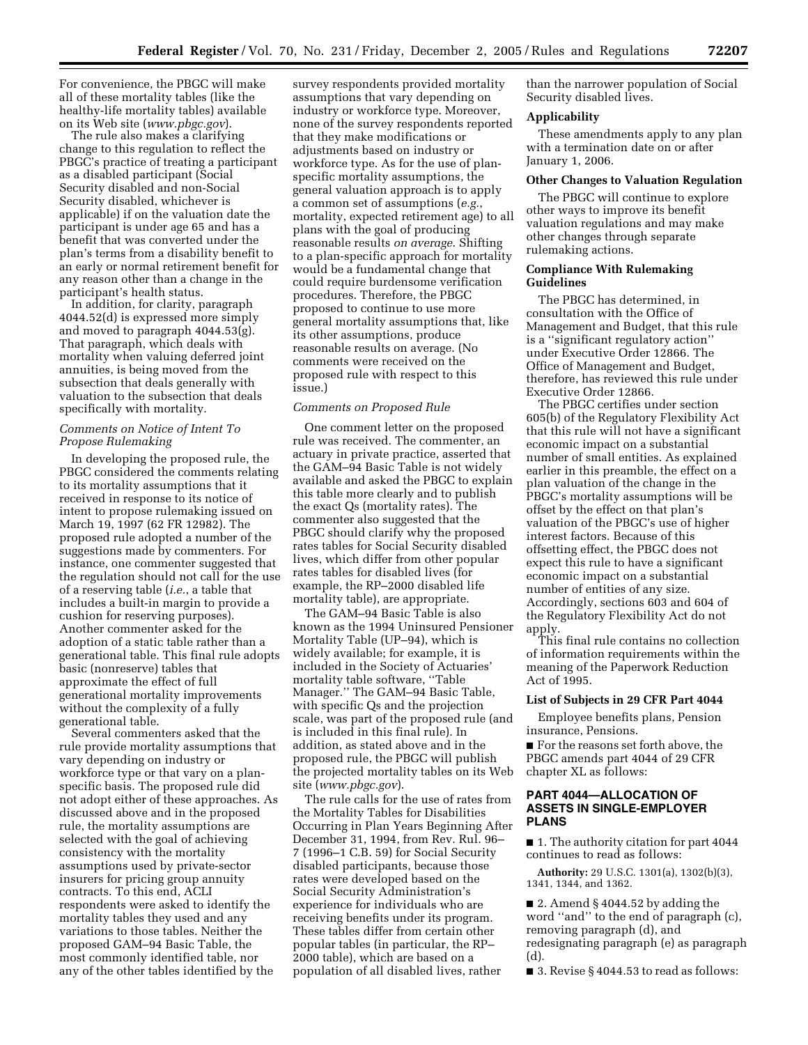For convenience, the PBGC will make all of these mortality tables (like the healthy-life mortality tables) available on its Web site (*[www.pbgc.gov](http://www.pbgc.gov)*).

The rule also makes a clarifying change to this regulation to reflect the PBGC's practice of treating a participant as a disabled participant (Social Security disabled and non-Social Security disabled, whichever is applicable) if on the valuation date the participant is under age 65 and has a benefit that was converted under the plan's terms from a disability benefit to an early or normal retirement benefit for any reason other than a change in the participant's health status.

In addition, for clarity, paragraph 4044.52(d) is expressed more simply and moved to paragraph 4044.53(g). That paragraph, which deals with mortality when valuing deferred joint annuities, is being moved from the subsection that deals generally with valuation to the subsection that deals specifically with mortality.

# *Comments on Notice of Intent To Propose Rulemaking*

In developing the proposed rule, the PBGC considered the comments relating to its mortality assumptions that it received in response to its notice of intent to propose rulemaking issued on March 19, 1997 (62 FR 12982). The proposed rule adopted a number of the suggestions made by commenters. For instance, one commenter suggested that the regulation should not call for the use of a reserving table (*i.e.*, a table that includes a built-in margin to provide a cushion for reserving purposes). Another commenter asked for the adoption of a static table rather than a generational table. This final rule adopts basic (nonreserve) tables that approximate the effect of full generational mortality improvements without the complexity of a fully generational table.

Several commenters asked that the rule provide mortality assumptions that vary depending on industry or workforce type or that vary on a planspecific basis. The proposed rule did not adopt either of these approaches. As discussed above and in the proposed rule, the mortality assumptions are selected with the goal of achieving consistency with the mortality assumptions used by private-sector insurers for pricing group annuity contracts. To this end, ACLI respondents were asked to identify the mortality tables they used and any variations to those tables. Neither the proposed GAM–94 Basic Table, the most commonly identified table, nor any of the other tables identified by the

survey respondents provided mortality assumptions that vary depending on industry or workforce type. Moreover, none of the survey respondents reported that they make modifications or adjustments based on industry or workforce type. As for the use of planspecific mortality assumptions, the general valuation approach is to apply a common set of assumptions (*e.g.*, mortality, expected retirement age) to all plans with the goal of producing reasonable results *on average*. Shifting to a plan-specific approach for mortality would be a fundamental change that could require burdensome verification procedures. Therefore, the PBGC proposed to continue to use more general mortality assumptions that, like its other assumptions, produce reasonable results on average. (No comments were received on the proposed rule with respect to this issue.)

## *Comments on Proposed Rule*

One comment letter on the proposed rule was received. The commenter, an actuary in private practice, asserted that the GAM–94 Basic Table is not widely available and asked the PBGC to explain this table more clearly and to publish the exact Qs (mortality rates). The commenter also suggested that the PBGC should clarify why the proposed rates tables for Social Security disabled lives, which differ from other popular rates tables for disabled lives (for example, the RP–2000 disabled life mortality table), are appropriate.

The GAM–94 Basic Table is also known as the 1994 Uninsured Pensioner Mortality Table (UP–94), which is widely available; for example, it is included in the Society of Actuaries' mortality table software, ''Table Manager.'' The GAM–94 Basic Table, with specific Qs and the projection scale, was part of the proposed rule (and is included in this final rule). In addition, as stated above and in the proposed rule, the PBGC will publish the projected mortality tables on its Web site (*[www.pbgc.gov](http://www.pbgc.gov)*).

The rule calls for the use of rates from the Mortality Tables for Disabilities Occurring in Plan Years Beginning After December 31, 1994, from Rev. Rul. 96– 7 (1996–1 C.B. 59) for Social Security disabled participants, because those rates were developed based on the Social Security Administration's experience for individuals who are receiving benefits under its program. These tables differ from certain other popular tables (in particular, the RP– 2000 table), which are based on a population of all disabled lives, rather

than the narrower population of Social Security disabled lives.

### **Applicability**

These amendments apply to any plan with a termination date on or after January 1, 2006.

### **Other Changes to Valuation Regulation**

The PBGC will continue to explore other ways to improve its benefit valuation regulations and may make other changes through separate rulemaking actions.

## **Compliance With Rulemaking Guidelines**

The PBGC has determined, in consultation with the Office of Management and Budget, that this rule is a ''significant regulatory action'' under Executive Order 12866. The Office of Management and Budget, therefore, has reviewed this rule under Executive Order 12866.

The PBGC certifies under section 605(b) of the Regulatory Flexibility Act that this rule will not have a significant economic impact on a substantial number of small entities. As explained earlier in this preamble, the effect on a plan valuation of the change in the PBGC's mortality assumptions will be offset by the effect on that plan's valuation of the PBGC's use of higher interest factors. Because of this offsetting effect, the PBGC does not expect this rule to have a significant economic impact on a substantial number of entities of any size. Accordingly, sections 603 and 604 of the Regulatory Flexibility Act do not apply.

This final rule contains no collection of information requirements within the meaning of the Paperwork Reduction Act of 1995.

#### **List of Subjects in 29 CFR Part 4044**

Employee benefits plans, Pension insurance, Pensions.

■ For the reasons set forth above, the PBGC amends part 4044 of 29 CFR chapter XL as follows:

# **PART 4044—ALLOCATION OF ASSETS IN SINGLE-EMPLOYER PLANS**

■ 1. The authority citation for part 4044 continues to read as follows:

**Authority:** 29 U.S.C. 1301(a), 1302(b)(3), 1341, 1344, and 1362.

■ 2. Amend § 4044.52 by adding the word ''and'' to the end of paragraph (c), removing paragraph (d), and redesignating paragraph (e) as paragraph (d).

■ 3. Revise § 4044.53 to read as follows: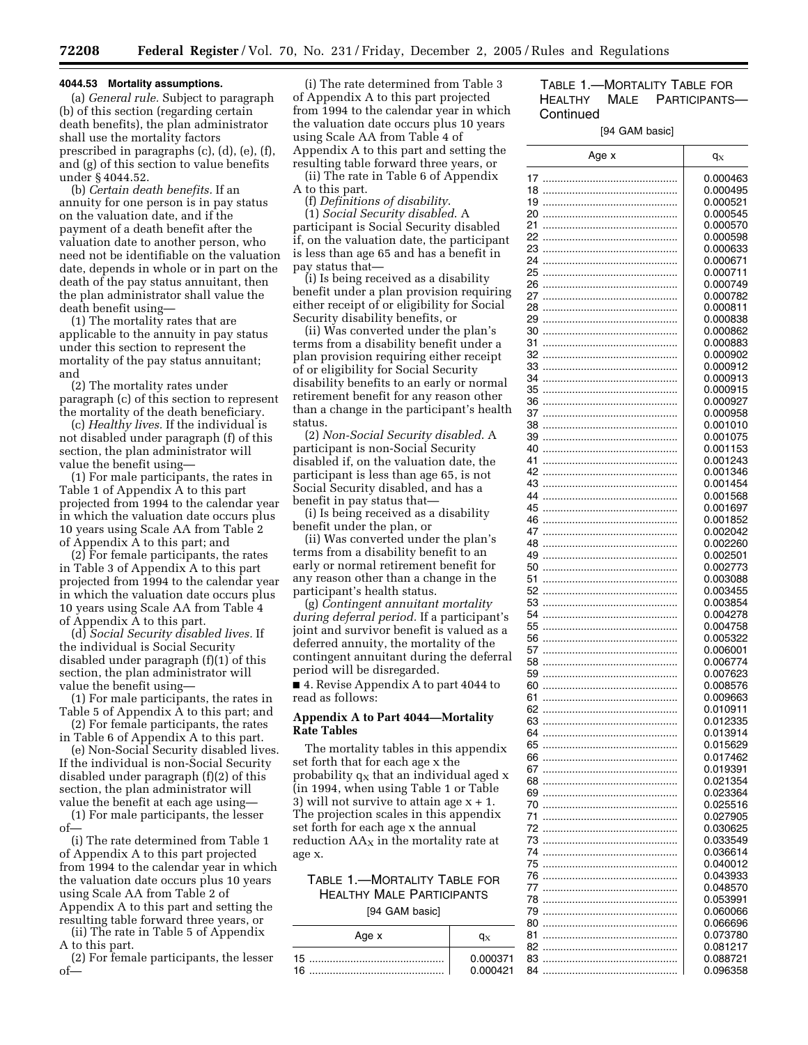#### **4044.53 Mortality assumptions.**

(a) *General rule.* Subject to paragraph (b) of this section (regarding certain death benefits), the plan administrator shall use the mortality factors prescribed in paragraphs (c), (d), (e), (f), and (g) of this section to value benefits under § 4044.52.

(b) *Certain death benefits.* If an annuity for one person is in pay status on the valuation date, and if the payment of a death benefit after the valuation date to another person, who need not be identifiable on the valuation date, depends in whole or in part on the death of the pay status annuitant, then the plan administrator shall value the death benefit using—

(1) The mortality rates that are applicable to the annuity in pay status under this section to represent the mortality of the pay status annuitant; and

(2) The mortality rates under paragraph (c) of this section to represent the mortality of the death beneficiary.

(c) *Healthy lives.* If the individual is not disabled under paragraph (f) of this section, the plan administrator will value the benefit using—

(1) For male participants, the rates in Table 1 of Appendix A to this part projected from 1994 to the calendar year in which the valuation date occurs plus 10 years using Scale AA from Table 2 of Appendix A to this part; and

(2) For female participants, the rates in Table 3 of Appendix A to this part projected from 1994 to the calendar year in which the valuation date occurs plus 10 years using Scale AA from Table 4 of Appendix A to this part.

(d) *Social Security disabled lives.* If the individual is Social Security disabled under paragraph (f)(1) of this section, the plan administrator will value the benefit using—

(1) For male participants, the rates in Table 5 of Appendix A to this part; and

(2) For female participants, the rates in Table 6 of Appendix A to this part.

(e) Non-Social Security disabled lives. If the individual is non-Social Security disabled under paragraph (f)(2) of this section, the plan administrator will value the benefit at each age using—

(1) For male participants, the lesser of—

(i) The rate determined from Table 1 of Appendix A to this part projected from 1994 to the calendar year in which the valuation date occurs plus 10 years using Scale AA from Table 2 of Appendix A to this part and setting the resulting table forward three years, or

(ii) The rate in Table 5 of Appendix A to this part.

(2) For female participants, the lesser of—

(i) The rate determined from Table 3 of Appendix A to this part projected from 1994 to the calendar year in which the valuation date occurs plus 10 years using Scale AA from Table 4 of Appendix A to this part and setting the resulting table forward three years, or (ii) The rate in Table 6 of Appendix

A to this part. (f) *Definitions of disability*.

(1) *Social Security disabled*. A participant is Social Security disabled if, on the valuation date, the participant is less than age 65 and has a benefit in pay status that—

(i) Is being received as a disability benefit under a plan provision requiring either receipt of or eligibility for Social Security disability benefits, or

(ii) Was converted under the plan's terms from a disability benefit under a plan provision requiring either receipt of or eligibility for Social Security disability benefits to an early or normal retirement benefit for any reason other than a change in the participant's health status.

(2) *Non-Social Security disabled*. A participant is non-Social Security disabled if, on the valuation date, the participant is less than age 65, is not Social Security disabled, and has a benefit in pay status that—

(i) Is being received as a disability benefit under the plan, or

(ii) Was converted under the plan's terms from a disability benefit to an early or normal retirement benefit for any reason other than a change in the participant's health status.

(g) *Contingent annuitant mortality during deferral period.* If a participant's joint and survivor benefit is valued as a deferred annuity, the mortality of the contingent annuitant during the deferral period will be disregarded.

■ 4. Revise Appendix A to part 4044 to read as follows:

## **Appendix A to Part 4044—Mortality Rate Tables**

The mortality tables in this appendix set forth that for each age x the probability  $q_x$  that an individual aged  $x$ (in 1994, when using Table 1 or Table 3) will not survive to attain age  $x + 1$ . The projection scales in this appendix set forth for each age x the annual reduction  $AA<sub>x</sub>$  in the mortality rate at age x.

# TABLE 1.—MORTALITY TABLE FOR HEALTHY MALE PARTICIPANTS [94 GAM basic]

Age x  $q_X$ 15 .............................................. 0.000371 16 .............................................. 0.000421

# TABLE 1.—MORTALITY TABLE FOR HEALTHY MALE PARTICIPANTS— **Continued**

#### [94 GAM basic]

| Age x    | $q_X$                |
|----------|----------------------|
| 17       | 0.000463             |
| 18       | 0.000495             |
| 19       | 0.000521             |
| 20       | 0.000545             |
| 21       | 0.000570             |
| 22       | 0.000598             |
| 23       | 0.000633             |
| 24       | 0.000671             |
| 25       | 0.000711             |
| 26       | 0.000749             |
| 27       | 0.000782             |
| 28       | 0.000811             |
| 29       | 0.000838             |
| 30<br>31 | 0.000862<br>0.000883 |
| 32       | 0.000902             |
| 33       | 0.000912             |
| 34       | 0.000913             |
| 35       | 0.000915             |
| 36       | 0.000927             |
| 37       | 0.000958             |
| 38       | 0.001010             |
| 39       | 0.001075             |
| 40       | 0.001153             |
| 41       | 0.001243             |
| 42       | 0.001346             |
| 43<br>44 | 0.001454<br>0.001568 |
| 45       | 0.001697             |
| 46       | 0.001852             |
| 47       | 0.002042             |
| 48       | 0.002260             |
| 49       | 0.002501             |
| 50       | 0.002773             |
| 51       | 0.003088             |
| 52       | 0.003455             |
| 53       | 0.003854             |
| 54       | 0.004278             |
| 55       | 0.004758             |
| 56       | 0.005322             |
| 57<br>58 | 0.006001<br>0.006774 |
| 59       | 0.007623             |
| 60       | 0.008576             |
| 61       | 0.009663             |
| 62       | 0.010911             |
| 63       | 0.012335             |
| 64       | 0.013914             |
| ხა       | 0.015629             |
| 66       | 0.017462             |
| 67       | 0.019391             |
| 68       | 0.021354             |
| 69<br>70 | 0.023364<br>0.025516 |
| 71       | 0.027905             |
| 72       | 0.030625             |
| 73       | 0.033549             |
| 74       | 0.036614             |
| 75       | 0.040012             |
| 76       | 0.043933             |
| 77       | 0.048570             |
| 78       | 0.053991             |
| 79       | 0.060066             |
| 80       | 0.066696             |
| 81<br>82 | 0.073780<br>0.081217 |
| 83       | 0.088721             |
| 84       | 0.096358             |
|          |                      |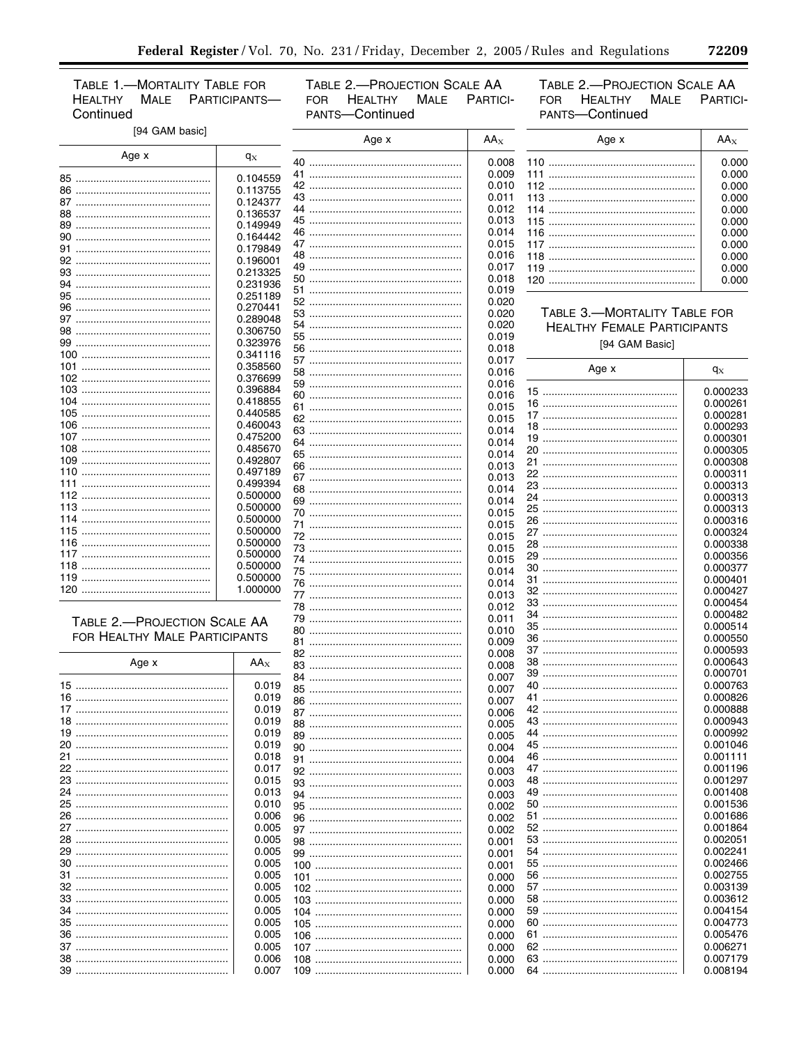TABLE 1.-MORTALITY TABLE FOR **HEALTHY** MALE PARTICIPANTS-Continued

TABLE 2.-PROJECTION SCALE AA FOR HEALTHY MALE PARTICI-PANTS-Continued

TABLE 2.-PROJECTION SCALE AA **HEALTHY** MALE PARTICI-FOR PANTS-Continued

۰

| [94 GAM basic]                |          | Age x | $AA_X$ | Age x                              | $AA_X$         |
|-------------------------------|----------|-------|--------|------------------------------------|----------------|
| Age x                         | $q_X$    |       | 0.008  |                                    | 0.000          |
|                               |          | 41    | 0.009  | 111                                |                |
|                               | 0.104559 |       | 0.010  |                                    | 0.000<br>0.000 |
|                               | 0.113755 |       | 0.011  |                                    | 0.000          |
|                               | 0.124377 |       | 0.012  |                                    | 0.000          |
|                               | 0.136537 | 45    | 0.013  |                                    | 0.000          |
|                               | 0.149949 | 46.   | 0.014  |                                    | 0.000          |
|                               | 0.164442 |       | 0.015  |                                    | 0.000          |
|                               | 0.179849 |       | 0.016  |                                    | 0.000          |
|                               | 0.196001 | 49    | 0.017  | 119                                |                |
|                               | 0.213325 | 50    | 0.018  |                                    | 0.000          |
| 94                            | 0.231936 |       | 0.019  |                                    | 0.000          |
|                               | 0.251189 |       | 0.020  |                                    |                |
|                               | 0.270441 | 53.   | 0.020  | TABLE 3.-MORTALITY TABLE FOR       |                |
|                               | 0.289048 | 54    | 0.020  |                                    |                |
|                               | 0.306750 |       | 0.019  | <b>HEALTHY FEMALE PARTICIPANTS</b> |                |
|                               | 0.323976 | 56    | 0.018  | [94 GAM Basic]                     |                |
|                               | 0.341116 |       | 0.017  |                                    |                |
|                               | 0.358560 |       |        | Age x                              | $q_X$          |
|                               | 0.376699 |       | 0.016  |                                    |                |
|                               | 0.396884 |       | 0.016  |                                    | 0.000233       |
|                               | 0.418855 |       | 0.016  | 16                                 | 0.000261       |
|                               | 0.440585 | 61    | 0.015  |                                    | 0.000281       |
|                               | 0.460043 |       | 0.015  |                                    | 0.000293       |
|                               | 0.475200 |       | 0.014  |                                    | 0.000301       |
|                               | 0.485670 |       | 0.014  |                                    | 0.000305       |
|                               | 0.492807 | 65    | 0.014  |                                    |                |
|                               | 0.497189 |       | 0.013  |                                    | 0.000308       |
|                               | 0.499394 |       | 0.013  | 22                                 | 0.000311       |
|                               | 0.500000 |       | 0.014  |                                    | 0.000313       |
|                               | 0.500000 | 69    | 0.014  | 24                                 | 0.000313       |
|                               | 0.500000 | 70    | 0.015  |                                    | 0.000313       |
|                               | 0.500000 |       | 0.015  | 26                                 | 0.000316       |
|                               |          |       | 0.015  |                                    | 0.000324       |
|                               | 0.500000 |       | 0.015  | 28                                 | 0.000338       |
|                               | 0.500000 |       | 0.015  | 29                                 | 0.000356       |
|                               | 0.500000 |       | 0.014  | 30                                 | 0.000377       |
|                               | 0.500000 |       | 0.014  | 31.                                | 0.000401       |
|                               | 1.000000 |       | 0.013  |                                    | 0.000427       |
|                               |          |       | 0.012  |                                    | 0.000454       |
|                               |          |       | 0.011  | 34                                 | 0.000482       |
| TABLE 2.-PROJECTION SCALE AA  |          |       | 0.010  | 35                                 | 0.000514       |
| FOR HEALTHY MALE PARTICIPANTS |          |       | 0.009  | 36                                 | 0.000550       |
|                               |          |       | 0.008  |                                    | 0.000593       |
| Age x                         | $AA_X$   |       | 0.008  | 38                                 | 0.000643       |
|                               |          |       | 0.007  | 39                                 | 0.000701       |
|                               | 0.019    |       | 0.007  | 40                                 | 0.000763       |
|                               | 0.019    | 86    | 0.007  |                                    | 0.000826       |
|                               | 0.019    | 87    | 0.006  |                                    | 0.000888       |
|                               | 0.019    | 88    | 0.005  |                                    | 0.000943       |
|                               | 0.019    | 89    | 0.005  |                                    | 0.000992       |
|                               | 0.019    | 90    | 0.004  |                                    | 0.001046       |
|                               | 0.018    |       | 0.004  |                                    | 0.001111       |
|                               | 0.017    |       | 0.003  |                                    | 0.001196       |
|                               | 0.015    |       |        |                                    | 0.001297       |
|                               | 0.013    |       | 0.003  |                                    | 0.001408       |
|                               | 0.010    |       | 0.003  |                                    | 0.001536       |
|                               | 0.006    | 95    | 0.002  |                                    | 0.001686       |
|                               |          | 96    | 0.002  |                                    | 0.001864       |
|                               | 0.005    |       | 0.002  |                                    |                |
|                               | 0.005    |       | 0.001  |                                    | 0.002051       |
|                               | 0.005    | 99    | 0.001  |                                    | 0.002241       |
|                               | 0.005    |       | 0.001  |                                    | 0.002466       |
|                               | 0.005    |       | 0.000  |                                    | 0.002755       |
|                               | 0.005    |       | 0.000  |                                    | 0.003139       |
|                               | 0.005    |       | 0.000  |                                    | 0.003612       |
|                               | 0.005    |       | 0.000  |                                    | 0.004154       |
|                               | 0.005    |       | 0.000  |                                    | 0.004773       |
|                               | 0.005    |       | 0.000  |                                    | 0.005476       |
|                               | 0.005    |       | 0.000  |                                    | 0.006271       |
|                               | 0.006    |       | 0.000  |                                    | 0.007179       |
|                               | 0.007    |       | 0.000  |                                    | 0.008194       |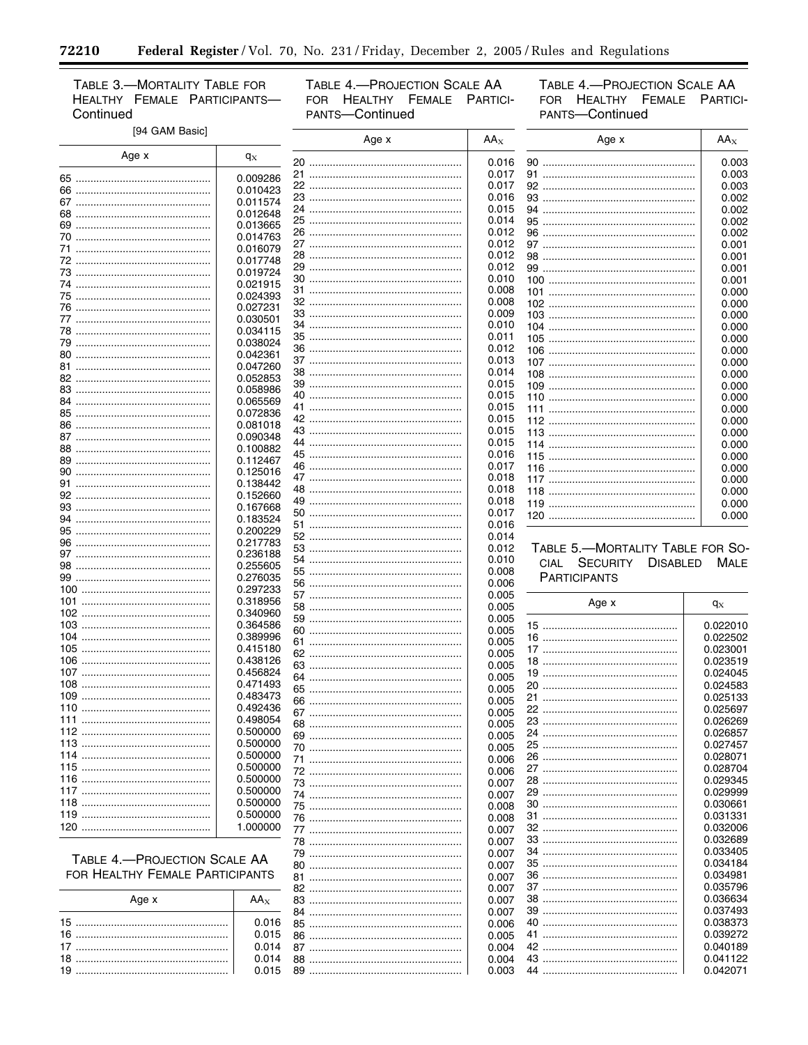TABLE 3.-MORTALITY TABLE FOR HEALTHY FEMALE PARTICIPANTS-Continued

۳

TABLE 4.-PROJECTION SCALE AA FOR HEALTHY FEMALE PARTICI-PANTS-Continued

TABLE 4.-PROJECTION SCALE AA FOR HEALTHY FEMALE PARTICI-PANTS-Continued

0.042071

٠

| [94 GAM Basic]                  |                      |    | Age x | $AA_X$         | Age x                               | $AA_X$   |
|---------------------------------|----------------------|----|-------|----------------|-------------------------------------|----------|
| Age x                           | $q_X$                |    |       | 0.016          |                                     | 0.003    |
|                                 |                      |    |       | 0.017          | 91                                  | 0.003    |
|                                 | 0.009286             |    |       | 0.017          |                                     | 0.003    |
|                                 | 0.010423             |    |       | 0.016          | 93                                  | 0.002    |
|                                 | 0.011574             |    |       | 0.015          | 94                                  | 0.002    |
|                                 | 0.012648             |    |       | 0.014          |                                     | 0.002    |
|                                 | 0.013665             |    |       | 0.012          | 96                                  | 0.002    |
|                                 | 0.014763             |    |       | 0.012          |                                     | 0.001    |
|                                 | 0.016079             |    |       | 0.012          |                                     | 0.001    |
|                                 | 0.017748             |    |       | 0.012          |                                     | 0.001    |
|                                 | 0.019724             |    |       | 0.010          |                                     | 0.001    |
|                                 | 0.021915             |    |       | 0.008          | 101                                 | 0.000    |
|                                 | 0.024393             |    |       | 0.008          |                                     | 0.000    |
|                                 | 0.027231             |    |       | 0.009          |                                     | 0.000    |
|                                 | 0.030501             |    |       | 0.010          |                                     | 0.000    |
|                                 | 0.034115             |    |       | 0.011          |                                     | 0.000    |
|                                 | 0.038024             |    |       | 0.012          |                                     | 0.000    |
|                                 | 0.042361             |    |       | 0.013          |                                     | 0.000    |
|                                 | 0.047260             |    |       | 0.014          |                                     | 0.000    |
|                                 | 0.052853<br>0.058986 |    |       | 0.015          |                                     | 0.000    |
|                                 | 0.065569             |    |       | 0.015          |                                     | 0.000    |
|                                 | 0.072836             |    |       | 0.015          |                                     | 0.000    |
|                                 | 0.081018             |    |       | 0.015          |                                     | 0.000    |
|                                 | 0.090348             |    |       | 0.015          |                                     | 0.000    |
|                                 | 0.100882             |    |       | 0.015          |                                     | 0.000    |
|                                 | 0.112467             |    |       | 0.016          |                                     | 0.000    |
|                                 | 0.125016             |    |       | 0.017          |                                     | 0.000    |
|                                 | 0.138442             |    |       | 0.018          |                                     | 0.000    |
|                                 | 0.152660             |    |       | 0.018          |                                     | 0.000    |
|                                 | 0.167668             |    |       | 0.018          |                                     | 0.000    |
|                                 | 0.183524             |    |       | 0.017          |                                     | 0.000    |
|                                 | 0.200229             |    |       | 0.016          |                                     |          |
|                                 | 0.217783             |    |       | 0.014          |                                     |          |
|                                 | 0.236188             |    |       | 0.012          | TABLE 5.-MORTALITY TABLE FOR SO-    |          |
|                                 | 0.255605             |    |       | 0.010          | SECURITY<br><b>DISABLED</b><br>CIAL | MALE     |
|                                 | 0.276035             |    |       | 0.008          | <b>PARTICIPANTS</b>                 |          |
|                                 | 0.297233             |    |       | 0.006          |                                     |          |
| 101.                            | 0.318956             |    |       | 0.005          | Age x                               | $q_X$    |
|                                 | 0.340960             |    |       | 0.005          |                                     |          |
| 103                             | 0.364586             |    |       | 0.005          | 15                                  | 0.022010 |
| 104                             | 0.389996             |    |       | 0.005          |                                     | 0.022502 |
| 105                             | 0.415180             |    |       | 0.005<br>0.005 |                                     | 0.023001 |
|                                 | 0.438126             |    |       | 0.005          | 18                                  | 0.023519 |
|                                 | 0.456824             |    |       | 0.005          | 19                                  | 0.024045 |
| 108                             | 0.471493             |    |       | 0.005          | 20                                  | 0.024583 |
|                                 | 0.483473             |    |       | 0.005          |                                     | 0.025133 |
|                                 | 0.492436             | 67 |       | 0.005          |                                     | 0.025697 |
|                                 | 0.498054             |    |       | 0.005          |                                     | 0.026269 |
|                                 | 0.500000             |    |       | 0.005          |                                     | 0.026857 |
|                                 | 0.500000             |    |       | 0.005          |                                     | 0.027457 |
|                                 | 0.500000             |    |       | 0.006          |                                     | 0.028071 |
|                                 | 0.500000             |    |       | 0.006          |                                     | 0.028704 |
|                                 | 0.500000             |    |       | 0.007          |                                     | 0.029345 |
|                                 | 0.500000             |    |       | 0.007          |                                     | 0.029999 |
|                                 | 0.500000             |    |       | 0.008          |                                     | 0.030661 |
|                                 | 0.500000             |    |       | 0.008          |                                     | 0.031331 |
|                                 | 1.000000             |    |       | 0.007          |                                     | 0.032006 |
|                                 |                      |    |       | 0.007          |                                     | 0.032689 |
|                                 |                      |    |       | 0.007          |                                     | 0.033405 |
| TABLE 4.-PROJECTION SCALE AA    |                      |    |       | 0.007          |                                     | 0.034184 |
| FOR HEALTHY FEMALE PARTICIPANTS |                      |    |       | 0.007          |                                     | 0.034981 |
|                                 |                      |    |       | 0.007          |                                     | 0.035796 |
| Age x                           | $AA_X$               |    |       | 0.007          |                                     | 0.036634 |
|                                 |                      |    |       | 0.007          |                                     | 0.037493 |
|                                 | 0.016                |    |       | 0.006          |                                     | 0.038373 |
|                                 | 0.015                |    |       | 0.005          |                                     | 0.039272 |
|                                 | 0.014                |    |       | 0.004          |                                     | 0.040189 |
|                                 | 0.014                |    |       | 0.004          |                                     | 0.041122 |